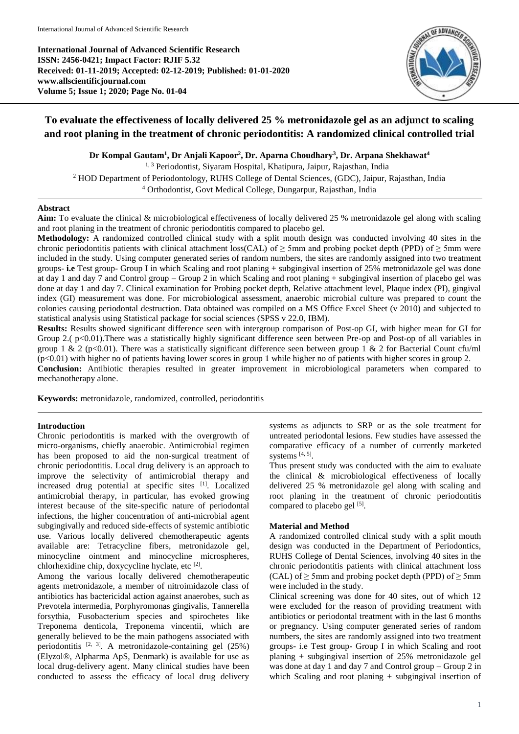**International Journal of Advanced Scientific Research ISSN: 2456-0421; Impact Factor: RJIF 5.32 Received: 01-11-2019; Accepted: 02-12-2019; Published: 01-01-2020 www.allscientificjournal.com Volume 5; Issue 1; 2020; Page No. 01-04**



# **To evaluate the effectiveness of locally delivered 25 % metronidazole gel as an adjunct to scaling and root planing in the treatment of chronic periodontitis: A randomized clinical controlled trial**

**Dr Kompal Gautam<sup>1</sup> , Dr Anjali Kapoor<sup>2</sup> , Dr. Aparna Choudhary<sup>3</sup> , Dr. Arpana Shekhawat<sup>4</sup>**

1, 3 Periodontist, Siyaram Hospital, Khatipura, Jaipur, Rajasthan, India <sup>2</sup> HOD Department of Periodontology, RUHS College of Dental Sciences, (GDC), Jaipur, Rajasthan, India

<sup>4</sup> Orthodontist, Govt Medical College, Dungarpur, Rajasthan, India

## **Abstract**

**Aim:** To evaluate the clinical & microbiological effectiveness of locally delivered 25 % metronidazole gel along with scaling and root planing in the treatment of chronic periodontitis compared to placebo gel.

**Methodology:** A randomized controlled clinical study with a split mouth design was conducted involving 40 sites in the chronic periodontitis patients with clinical attachment loss(CAL) of  $\geq$  5mm and probing pocket depth (PPD) of  $\geq$  5mm were included in the study. Using computer generated series of random numbers, the sites are randomly assigned into two treatment groups- **i.e** Test group- Group I in which Scaling and root planing + subgingival insertion of 25% metronidazole gel was done at day 1 and day 7 and Control group – Group 2 in which Scaling and root planing + subgingival insertion of placebo gel was done at day 1 and day 7. Clinical examination for Probing pocket depth, Relative attachment level, Plaque index (PI), gingival index (GI) measurement was done. For microbiological assessment, anaerobic microbial culture was prepared to count the colonies causing periodontal destruction. Data obtained was compiled on a MS Office Excel Sheet (v 2010) and subjected to statistical analysis using Statistical package for social sciences (SPSS v 22.0, IBM).

**Results:** Results showed significant difference seen with intergroup comparison of Post-op GI, with higher mean for GI for Group 2.(  $p<0.01$ ). There was a statistically highly significant difference seen between Pre-op and Post-op of all variables in group 1 & 2 (p<0.01). There was a statistically significant difference seen between group 1 & 2 for Bacterial Count cfu/ml (p<0.01) with higher no of patients having lower scores in group 1 while higher no of patients with higher scores in group 2. **Conclusion:** Antibiotic therapies resulted in greater improvement in microbiological parameters when compared to mechanotherapy alone.

**Keywords:** metronidazole, randomized, controlled, periodontitis

# **Introduction**

Chronic periodontitis is marked with the overgrowth of micro-organisms, chiefly anaerobic. Antimicrobial regimen has been proposed to aid the non-surgical treatment of chronic periodontitis. Local drug delivery is an approach to improve the selectivity of antimicrobial therapy and increased drug potential at specific sites [1]. Localized antimicrobial therapy, in particular, has evoked growing interest because of the site-specific nature of periodontal infections, the higher concentration of anti-microbial agent subgingivally and reduced side-effects of systemic antibiotic use. Various locally delivered chemotherapeutic agents available are: Tetracycline fibers, metronidazole gel, minocycline ointment and minocycline microspheres, chlorhexidine chip, doxycycline hyclate, etc [2].

Among the various locally delivered chemotherapeutic agents metronidazole, a member of nitroimidazole class of antibiotics has bactericidal action against anaerobes, such as Prevotela intermedia, Porphyromonas gingivalis, Tannerella forsythia, Fusobacterium species and spirochetes like Treponema denticola, Treponema vincentii, which are generally believed to be the main pathogens associated with periodontitis  $[2, 3]$ . A metronidazole-containing gel  $(25%)$ (Elyzol®, Alpharma ApS, Denmark) is available for use as local drug-delivery agent. Many clinical studies have been conducted to assess the efficacy of local drug delivery

systems as adjuncts to SRP or as the sole treatment for untreated periodontal lesions. Few studies have assessed the comparative efficacy of a number of currently marketed systems  $[4, 5]$ .

Thus present study was conducted with the aim to evaluate the clinical & microbiological effectiveness of locally delivered 25 % metronidazole gel along with scaling and root planing in the treatment of chronic periodontitis compared to placebo gel [5].

# **Material and Method**

A randomized controlled clinical study with a split mouth design was conducted in the Department of Periodontics, RUHS College of Dental Sciences, involving 40 sites in the chronic periodontitis patients with clinical attachment loss (CAL) of  $\geq$  5mm and probing pocket depth (PPD) of  $\geq$  5mm were included in the study.

Clinical screening was done for 40 sites, out of which 12 were excluded for the reason of providing treatment with antibiotics or periodontal treatment with in the last 6 months or pregnancy. Using computer generated series of random numbers, the sites are randomly assigned into two treatment groups- i.e Test group- Group I in which Scaling and root planing + subgingival insertion of 25% metronidazole gel was done at day 1 and day 7 and Control group – Group 2 in which Scaling and root planing + subgingival insertion of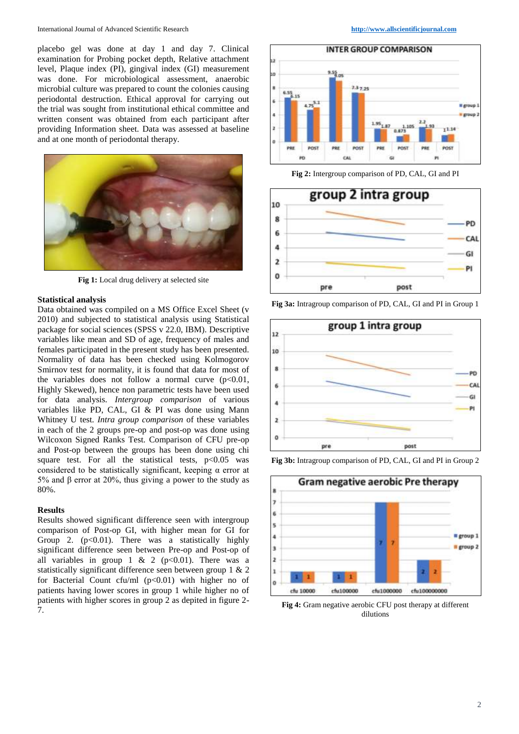placebo gel was done at day 1 and day 7. Clinical examination for Probing pocket depth, Relative attachment level, Plaque index (PI), gingival index (GI) measurement was done. For microbiological assessment, anaerobic microbial culture was prepared to count the colonies causing periodontal destruction. Ethical approval for carrying out the trial was sought from institutional ethical committee and written consent was obtained from each participant after providing Information sheet. Data was assessed at baseline and at one month of periodontal therapy.



**Fig 1:** Local drug delivery at selected site

# **Statistical analysis**

Data obtained was compiled on a MS Office Excel Sheet (v 2010) and subjected to statistical analysis using Statistical package for social sciences (SPSS v 22.0, IBM). Descriptive variables like mean and SD of age, frequency of males and females participated in the present study has been presented. Normality of data has been checked using Kolmogorov Smirnov test for normality, it is found that data for most of the variables does not follow a normal curve  $(p<0.01$ , Highly Skewed), hence non parametric tests have been used for data analysis. *Intergroup comparison* of various variables like PD, CAL, GI & PI was done using Mann Whitney U test. *Intra group comparison* of these variables in each of the 2 groups pre-op and post-op was done using Wilcoxon Signed Ranks Test. Comparison of CFU pre-op and Post-op between the groups has been done using chi square test. For all the statistical tests,  $p<0.05$  was considered to be statistically significant, keeping  $\alpha$  error at 5% and β error at 20%, thus giving a power to the study as 80%.

### **Results**

Results showed significant difference seen with intergroup comparison of Post-op GI, with higher mean for GI for Group 2.  $(p<0.01)$ . There was a statistically highly significant difference seen between Pre-op and Post-op of all variables in group 1 & 2 ( $p<0.01$ ). There was a statistically significant difference seen between group 1 & 2 for Bacterial Count cfu/ml  $(p<0.01)$  with higher no of patients having lower scores in group 1 while higher no of patients with higher scores in group 2 as depited in figure 2- 7.



**Fig 2:** Intergroup comparison of PD, CAL, GI and PI



**Fig 3a:** Intragroup comparison of PD, CAL, GI and PI in Group 1







**Fig 4:** Gram negative aerobic CFU post therapy at different dilutions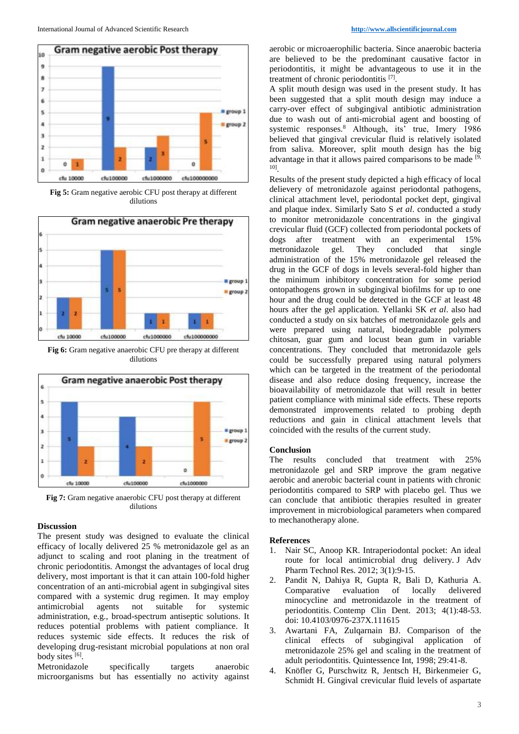

**Fig 5:** Gram negative aerobic CFU post therapy at different dilutions



**Fig 6:** Gram negative anaerobic CFU pre therapy at different dilutions



**Fig 7:** Gram negative anaerobic CFU post therapy at different dilutions

#### **Discussion**

The present study was designed to evaluate the clinical efficacy of locally delivered 25 % metronidazole gel as an adjunct to scaling and root planing in the treatment of chronic periodontitis. Amongst the advantages of local drug delivery, most important is that it can attain 100-fold higher concentration of an anti-microbial agent in subgingival sites compared with a systemic drug regimen. It may employ antimicrobial agents not suitable for systemic administration, e.g., broad-spectrum antiseptic solutions. It reduces potential problems with patient compliance. It reduces systemic side effects. It reduces the risk of developing drug-resistant microbial populations at non oral body sites [6].

Metronidazole specifically targets anaerobic microorganisms but has essentially no activity against

aerobic or microaerophilic bacteria. Since anaerobic bacteria are believed to be the predominant causative factor in periodontitis, it might be advantageous to use it in the treatment of chronic periodontitis [7].

A split mouth design was used in the present study. It has been suggested that a split mouth design may induce a carry-over effect of subgingival antibiotic administration due to wash out of anti-microbial agent and boosting of systemic responses.<sup>8</sup> Although, its' true, Imery 1986 believed that gingival crevicular fluid is relatively isolated from saliva. Moreover, split mouth design has the big advantage in that it allows paired comparisons to be made  $[9, 6]$ 10] .

Results of the present study depicted a high efficacy of local delievery of metronidazole against periodontal pathogens, clinical attachment level, periodontal pocket dept, gingival and plaque index. Similarly Sato S *et al*. conducted a study to monitor metronidazole concentrations in the gingival crevicular fluid (GCF) collected from periodontal pockets of dogs after treatment with an experimental 15%<br>metronidazole gel. They concluded that single metronidazole gel. They concluded that administration of the 15% metronidazole gel released the drug in the GCF of dogs in levels several-fold higher than the minimum inhibitory concentration for some period ontopathogens grown in subgingival biofilms for up to one hour and the drug could be detected in the GCF at least 48 hours after the gel application. Yellanki SK *et al*. also had conducted a study on six batches of metronidazole gels and were prepared using natural, biodegradable polymers chitosan, guar gum and locust bean gum in variable concentrations. They concluded that metronidazole gels could be successfully prepared using natural polymers which can be targeted in the treatment of the periodontal disease and also reduce dosing frequency, increase the bioavailability of metronidazole that will result in better patient compliance with minimal side effects. These reports demonstrated improvements related to probing depth reductions and gain in clinical attachment levels that coincided with the results of the current study.

#### **Conclusion**

The results concluded that treatment with 25% metronidazole gel and SRP improve the gram negative aerobic and anerobic bacterial count in patients with chronic periodontitis compared to SRP with placebo gel. Thus we can conclude that antibiotic therapies resulted in greater improvement in microbiological parameters when compared to mechanotherapy alone.

#### **References**

- 1. Nair SC, Anoop KR. Intraperiodontal pocket: An ideal route for local antimicrobial drug delivery. J Adv Pharm Technol Res. 2012; 3(1):9-15.
- 2. Pandit N, Dahiya R, Gupta R, Bali D, Kathuria A. evaluation of locally delivered minocycline and metronidazole in the treatment of periodontitis. Contemp Clin Dent. 2013; 4(1):48-53. doi: 10.4103/0976-237X.111615
- 3. Awartani FA, Zulqarnain BJ. Comparison of the clinical effects of subgingival application of metronidazole 25% gel and scaling in the treatment of adult periodontitis. Quintessence Int, 1998; 29:41-8.
- 4. Knöfler G, Purschwitz R, Jentsch H, Birkenmeier G, Schmidt H. Gingival crevicular fluid levels of aspartate